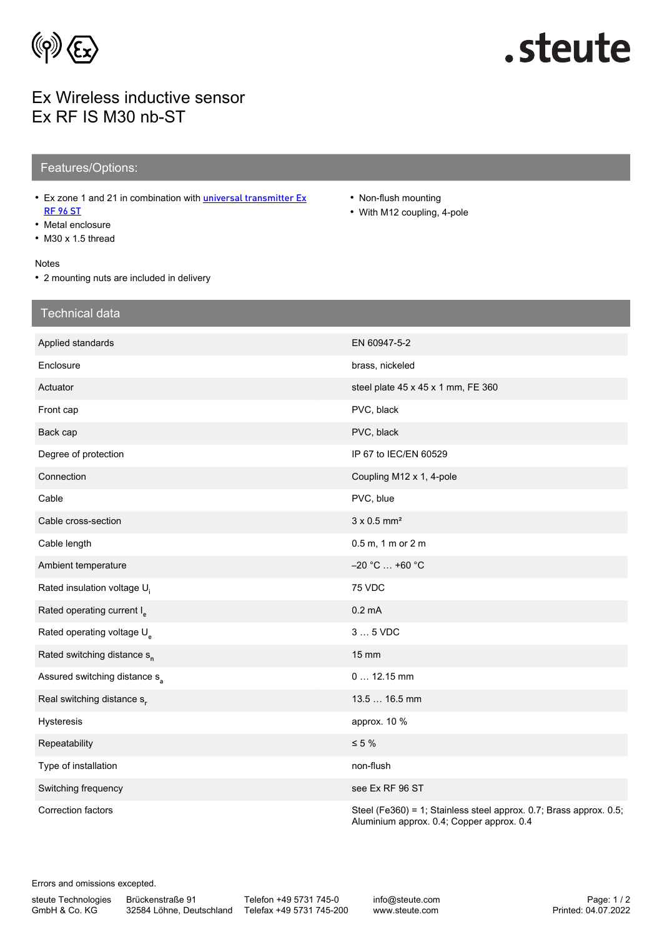

# .steute

### Ex Wireless inductive sensor Ex RF IS M30 nb-ST

### Features/Options:

- Ex zone 1 and 21 in combination with *[universal transmitter Ex](https://www.steute.com/index.php?id=11687&L=7)* [RF 96 ST](https://www.steute.com/index.php?id=11687&L=7)
- Metal enclosure
- M30 x 1.5 thread

#### Notes

• 2 mounting nuts are included in delivery

- Non-flush mounting
- With M12 coupling, 4-pole

| <b>Technical data</b>                     |                                                                                                                 |
|-------------------------------------------|-----------------------------------------------------------------------------------------------------------------|
| Applied standards                         | EN 60947-5-2                                                                                                    |
| Enclosure                                 | brass, nickeled                                                                                                 |
| Actuator                                  | steel plate 45 x 45 x 1 mm, FE 360                                                                              |
| Front cap                                 | PVC, black                                                                                                      |
| Back cap                                  | PVC, black                                                                                                      |
| Degree of protection                      | IP 67 to IEC/EN 60529                                                                                           |
| Connection                                | Coupling M12 x 1, 4-pole                                                                                        |
| Cable                                     | PVC, blue                                                                                                       |
| Cable cross-section                       | $3 \times 0.5$ mm <sup>2</sup>                                                                                  |
| Cable length                              | 0.5 m, 1 m or 2 m                                                                                               |
| Ambient temperature                       | $-20 °C  +60 °C$                                                                                                |
| Rated insulation voltage U <sub>i</sub>   | 75 VDC                                                                                                          |
| Rated operating current I <sub>p</sub>    | $0.2 \text{ mA}$                                                                                                |
| Rated operating voltage U <sub>s</sub>    | $35$ VDC                                                                                                        |
| Rated switching distance s <sub>n</sub>   | 15 mm                                                                                                           |
| Assured switching distance s <sub>a</sub> | $0 12.15$ mm                                                                                                    |
| Real switching distance s <sub>r</sub>    | 13.5  16.5 mm                                                                                                   |
| Hysteresis                                | approx. 10 %                                                                                                    |
| Repeatability                             | $\leq 5 \%$                                                                                                     |
| Type of installation                      | non-flush                                                                                                       |
| Switching frequency                       | see Ex RF 96 ST                                                                                                 |
| Correction factors                        | Steel (Fe360) = 1; Stainless steel approx. 0.7; Brass approx. 0.5;<br>Aluminium approx. 0.4; Copper approx. 0.4 |

Errors and omissions excepted.

steute Technologies GmbH & Co. KG

Brückenstraße 91

32584 Löhne, Deutschland Telefax +49 5731 745-200 Telefon +49 5731 745-0

info@steute.com